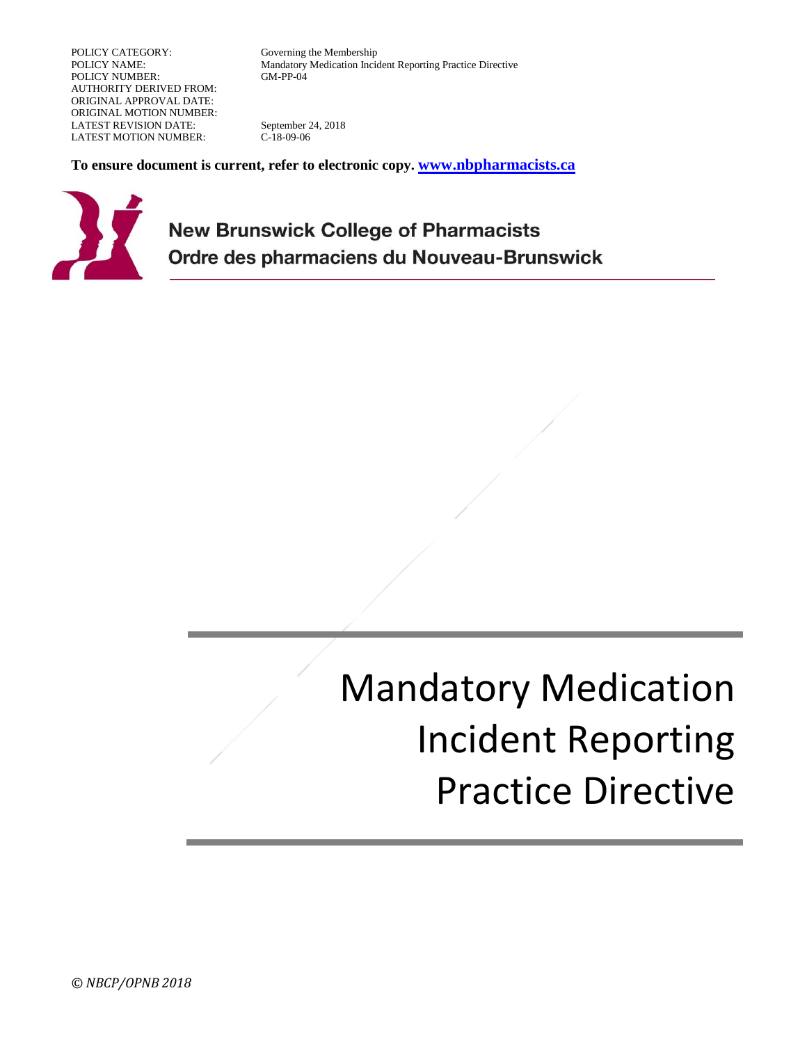POLICY CATEGORY: Governing the Membership POLICY NUMBER: AUTHORITY DERIVED FROM: ORIGINAL APPROVAL DATE: ORIGINAL MOTION NUMBER: LATEST REVISION DATE: September 24, 2018 LATEST MOTION NUMBER: C-18-09-06

POLICY NAME: Mandatory Medication Incident Reporting Practice Directive

**To ensure document is current, refer to electronic copy. [www.nbpharmacists.ca](http://www.nbpharmacists.ca/)**



**New Brunswick College of Pharmacists** Ordre des pharmaciens du Nouveau-Brunswick

# Mandatory Medication Incident Reporting Practice Directive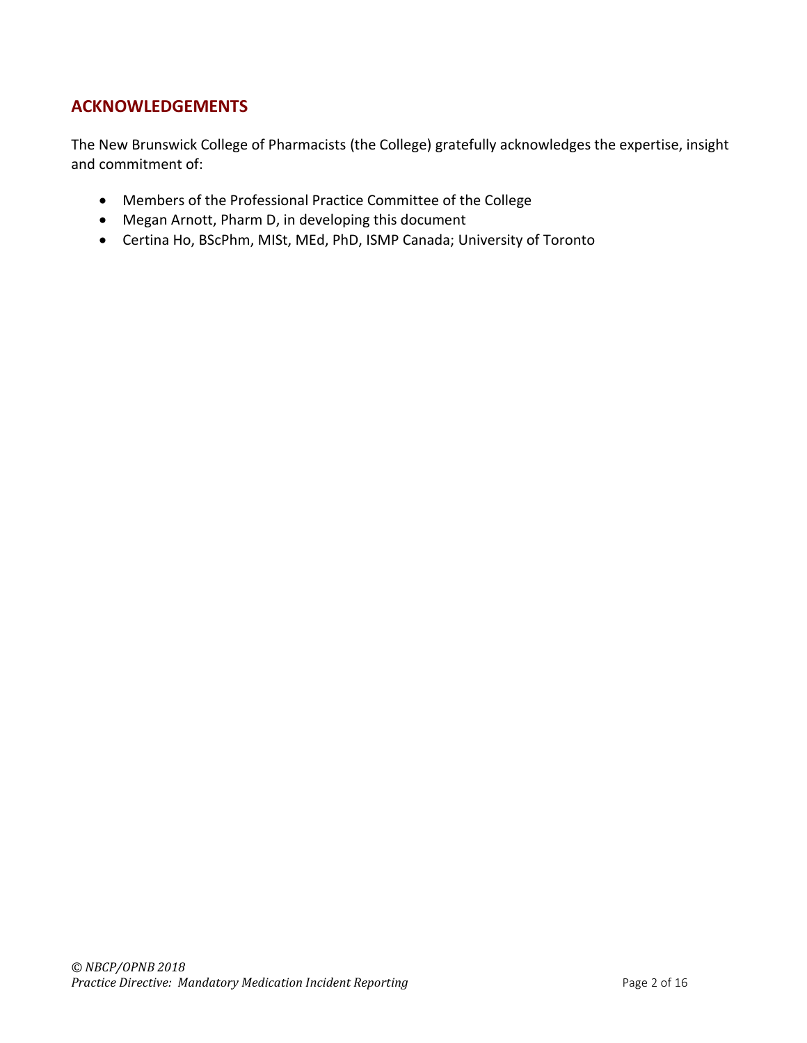# **ACKNOWLEDGEMENTS**

The New Brunswick College of Pharmacists (the College) gratefully acknowledges the expertise, insight and commitment of:

- Members of the Professional Practice Committee of the College
- Megan Arnott, Pharm D, in developing this document
- Certina Ho, BScPhm, MISt, MEd, PhD, ISMP Canada; University of Toronto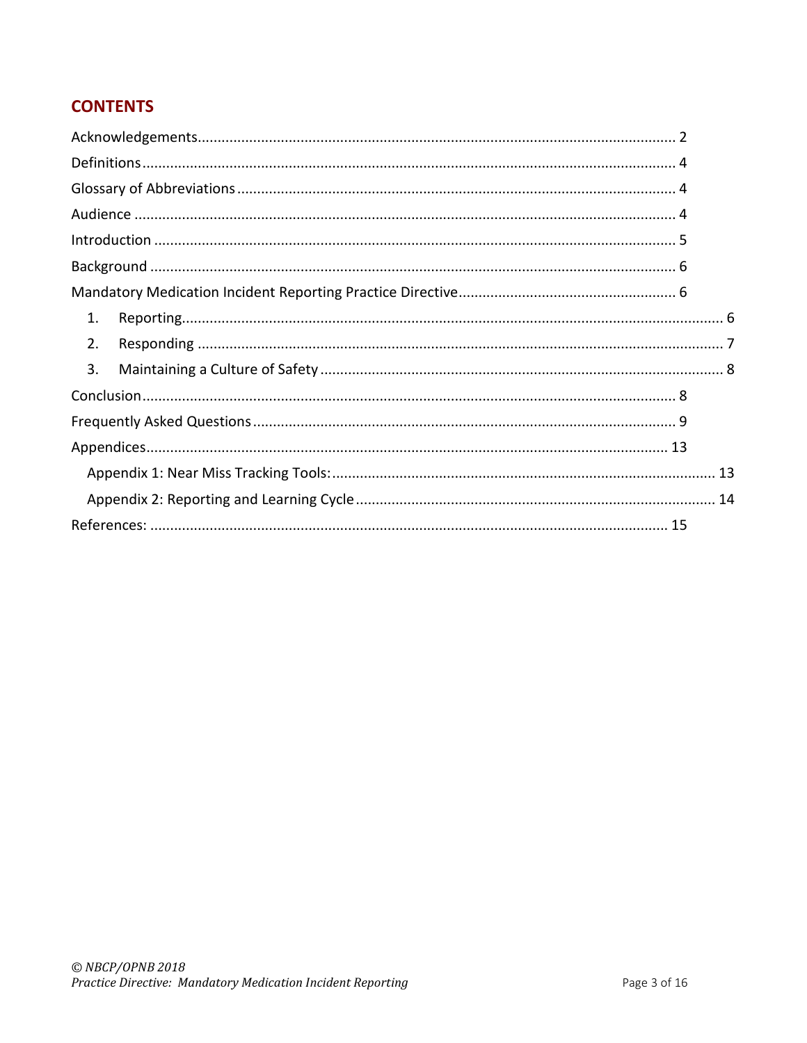# **CONTENTS**

| 1. |  |
|----|--|
| 2. |  |
| 3. |  |
|    |  |
|    |  |
|    |  |
|    |  |
|    |  |
|    |  |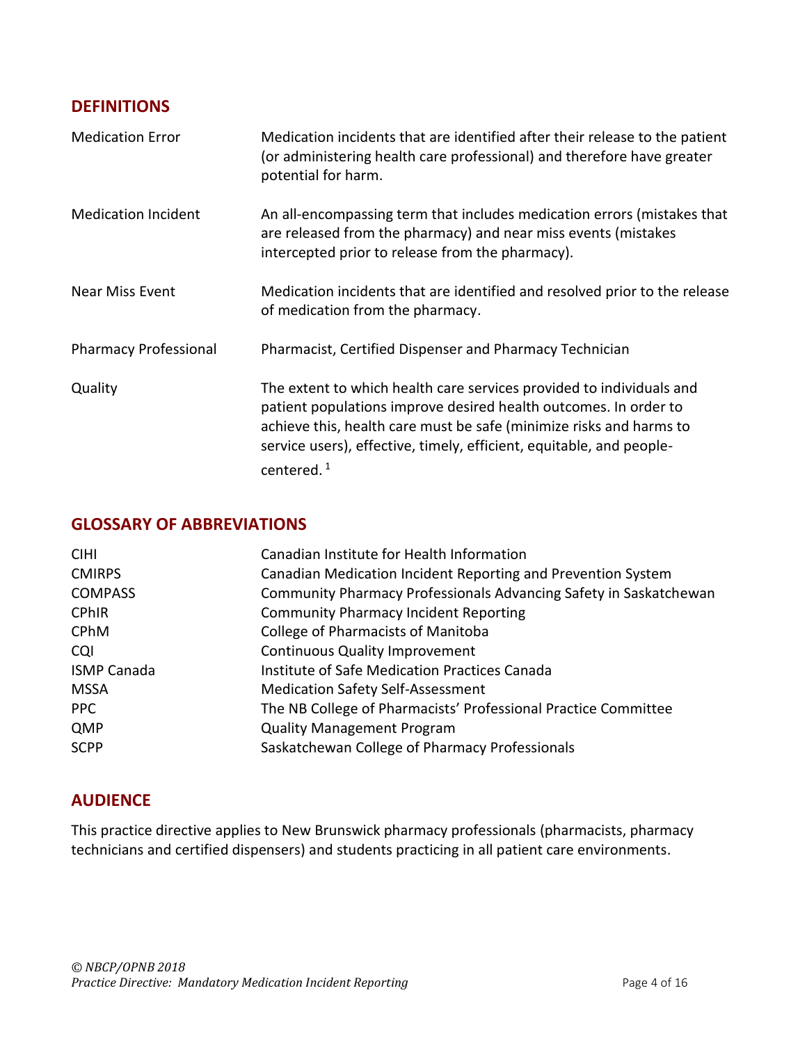# **DEFINITIONS**

| <b>Medication Error</b>      | Medication incidents that are identified after their release to the patient<br>(or administering health care professional) and therefore have greater<br>potential for harm.                                                                                                                             |
|------------------------------|----------------------------------------------------------------------------------------------------------------------------------------------------------------------------------------------------------------------------------------------------------------------------------------------------------|
| <b>Medication Incident</b>   | An all-encompassing term that includes medication errors (mistakes that<br>are released from the pharmacy) and near miss events (mistakes<br>intercepted prior to release from the pharmacy).                                                                                                            |
| Near Miss Event              | Medication incidents that are identified and resolved prior to the release<br>of medication from the pharmacy.                                                                                                                                                                                           |
| <b>Pharmacy Professional</b> | Pharmacist, Certified Dispenser and Pharmacy Technician                                                                                                                                                                                                                                                  |
| Quality                      | The extent to which health care services provided to individuals and<br>patient populations improve desired health outcomes. In order to<br>achieve this, health care must be safe (minimize risks and harms to<br>service users), effective, timely, efficient, equitable, and people-<br>centered. $1$ |

# **GLOSSARY OF ABBREVIATIONS**

| <b>CIHI</b>        | Canadian Institute for Health Information                         |
|--------------------|-------------------------------------------------------------------|
| <b>CMIRPS</b>      | Canadian Medication Incident Reporting and Prevention System      |
| <b>COMPASS</b>     | Community Pharmacy Professionals Advancing Safety in Saskatchewan |
| <b>CPhIR</b>       | <b>Community Pharmacy Incident Reporting</b>                      |
| <b>CPhM</b>        | <b>College of Pharmacists of Manitoba</b>                         |
| <b>CQI</b>         | <b>Continuous Quality Improvement</b>                             |
| <b>ISMP Canada</b> | Institute of Safe Medication Practices Canada                     |
| <b>MSSA</b>        | <b>Medication Safety Self-Assessment</b>                          |
| <b>PPC</b>         | The NB College of Pharmacists' Professional Practice Committee    |
| QMP                | <b>Quality Management Program</b>                                 |
| <b>SCPP</b>        | Saskatchewan College of Pharmacy Professionals                    |

# **AUDIENCE**

This practice directive applies to New Brunswick pharmacy professionals (pharmacists, pharmacy technicians and certified dispensers) and students practicing in all patient care environments.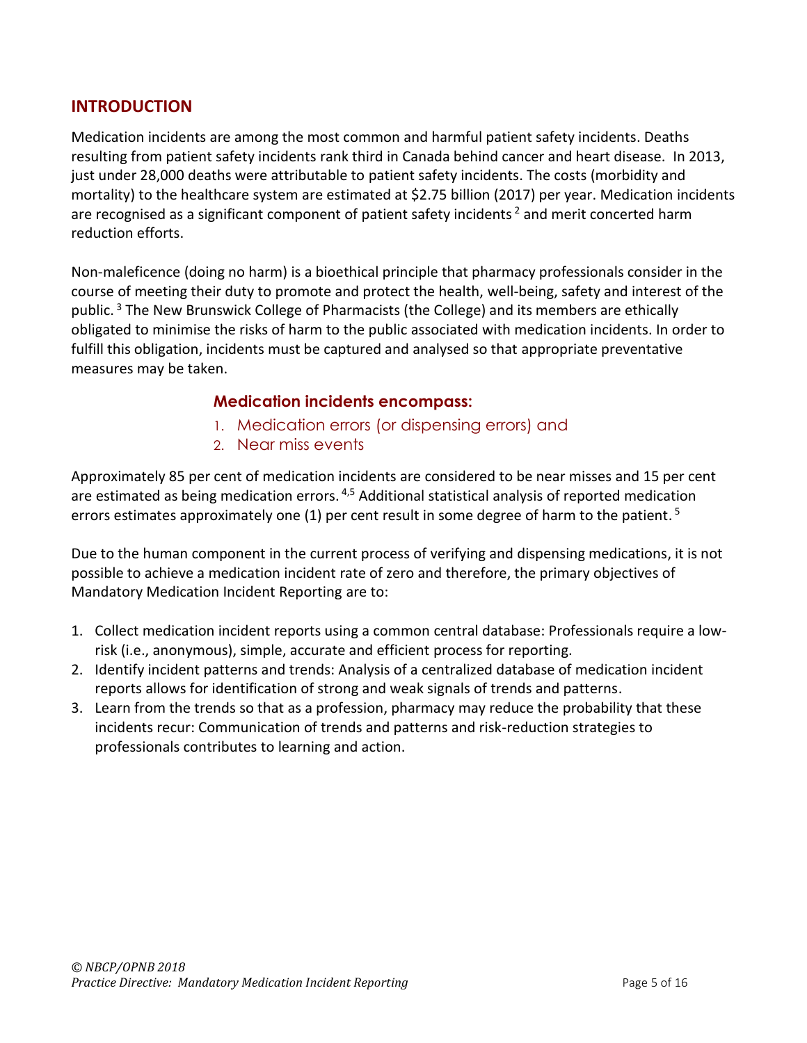# **INTRODUCTION**

Medication incidents are among the most common and harmful patient safety incidents. Deaths resulting from patient safety incidents rank third in Canada behind cancer and heart disease. In 2013, just under 28,000 deaths were attributable to patient safety incidents. The costs (morbidity and mortality) to the healthcare system are estimated at \$2.75 billion (2017) per year. Medication incidents are recognised as a significant component of patient safety incidents<sup>2</sup> and merit concerted harm reduction efforts.

Non-maleficence (doing no harm) is a bioethical principle that pharmacy professionals consider in the course of meeting their duty to promote and protect the health, well-being, safety and interest of the public.<sup>3</sup> The New Brunswick College of Pharmacists (the College) and its members are ethically obligated to minimise the risks of harm to the public associated with medication incidents. In order to fulfill this obligation, incidents must be captured and analysed so that appropriate preventative measures may be taken.

#### **Medication incidents encompass:**

- 1. Medication errors (or dispensing errors) and
- 2. Near miss events

Approximately 85 per cent of medication incidents are considered to be near misses and 15 per cent are estimated as being medication errors.<sup>4,5</sup> Additional statistical analysis of reported medication errors estimates approximately one (1) per cent result in some degree of harm to the patient.<sup>5</sup>

Due to the human component in the current process of verifying and dispensing medications, it is not possible to achieve a medication incident rate of zero and therefore, the primary objectives of Mandatory Medication Incident Reporting are to:

- 1. Collect medication incident reports using a common central database: Professionals require a lowrisk (i.e., anonymous), simple, accurate and efficient process for reporting.
- 2. Identify incident patterns and trends: Analysis of a centralized database of medication incident reports allows for identification of strong and weak signals of trends and patterns.
- 3. Learn from the trends so that as a profession, pharmacy may reduce the probability that these incidents recur: Communication of trends and patterns and risk-reduction strategies to professionals contributes to learning and action.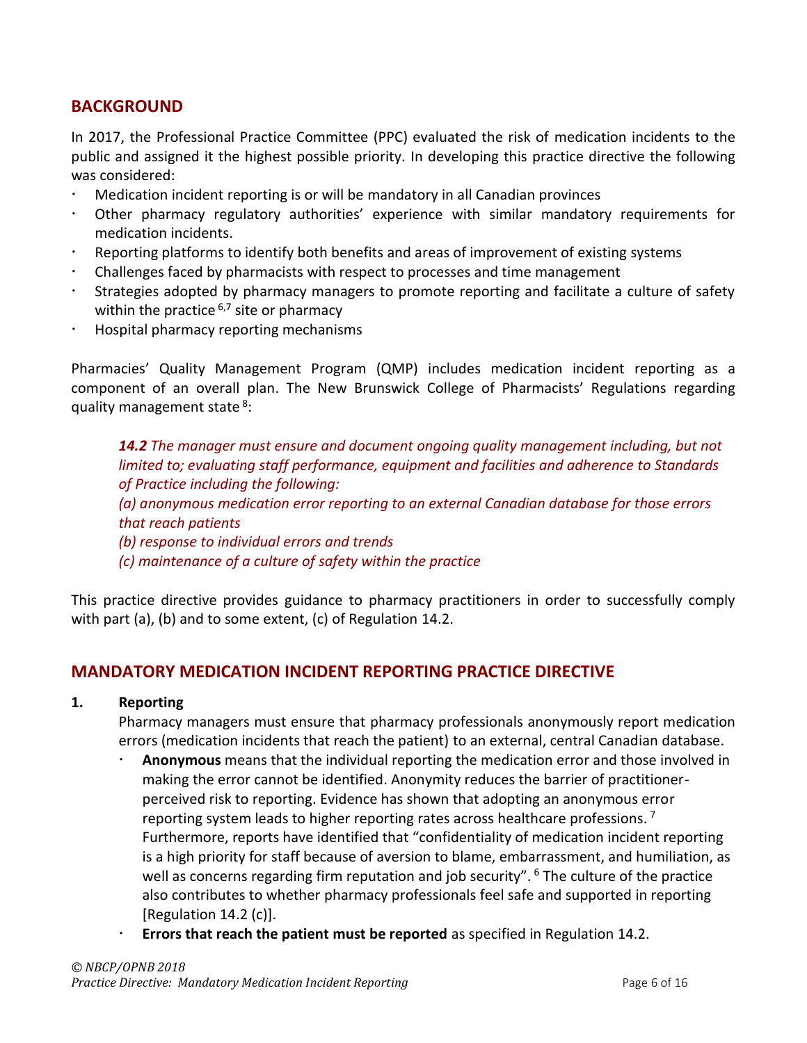# **BACKGROUND**

In 2017, the Professional Practice Committee (PPC) evaluated the risk of medication incidents to the public and assigned it the highest possible priority. In developing this practice directive the following was considered:

- Medication incident reporting is or will be mandatory in all Canadian provinces
- Other pharmacy regulatory authorities' experience with similar mandatory requirements for medication incidents.
- Reporting platforms to identify both benefits and areas of improvement of existing systems
- Challenges faced by pharmacists with respect to processes and time management
- Strategies adopted by pharmacy managers to promote reporting and facilitate a culture of safety within the practice  $6.7$  site or pharmacy
- Hospital pharmacy reporting mechanisms

Pharmacies' Quality Management Program (QMP) includes medication incident reporting as a component of an overall plan. The New Brunswick College of Pharmacists' Regulations regarding quality management state<sup>8</sup>:

*14.2 The manager must ensure and document ongoing quality management including, but not limited to; evaluating staff performance, equipment and facilities and adherence to Standards of Practice including the following:*

*(a) anonymous medication error reporting to an external Canadian database for those errors that reach patients*

*(b) response to individual errors and trends* 

*(c) maintenance of a culture of safety within the practice*

This practice directive provides guidance to pharmacy practitioners in order to successfully comply with part (a), (b) and to some extent, (c) of Regulation 14.2.

# **MANDATORY MEDICATION INCIDENT REPORTING PRACTICE DIRECTIVE**

#### **1. Reporting**

Pharmacy managers must ensure that pharmacy professionals anonymously report medication errors (medication incidents that reach the patient) to an external, central Canadian database.

- **Anonymous** means that the individual reporting the medication error and those involved in making the error cannot be identified. Anonymity reduces the barrier of practitionerperceived risk to reporting. Evidence has shown that adopting an anonymous error reporting system leads to higher reporting rates across healthcare professions.<sup>7</sup> Furthermore, reports have identified that "confidentiality of medication incident reporting is a high priority for staff because of aversion to blame, embarrassment, and humiliation, as well as concerns regarding firm reputation and job security".  $6$  The culture of the practice also contributes to whether pharmacy professionals feel safe and supported in reporting [Regulation 14.2 (c)].
- **Errors that reach the patient must be reported** as specified in Regulation 14.2.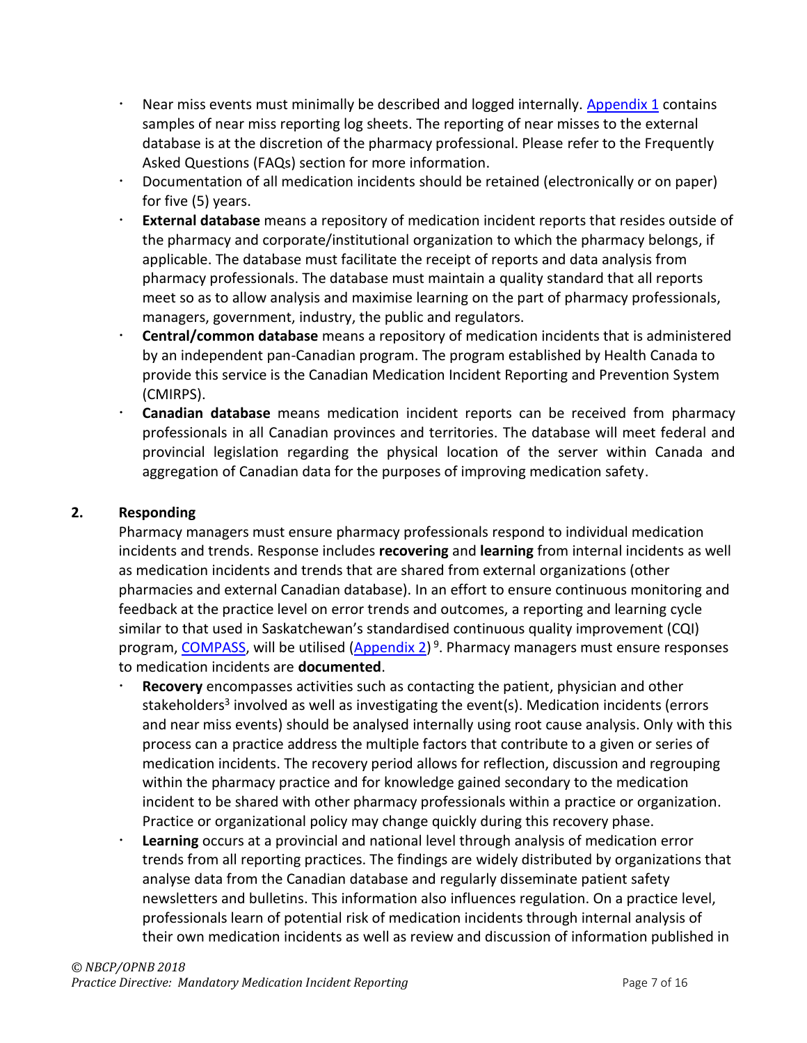- Near miss events must minimally be described and logged internally. [Appendix 1](#page-12-0) contains samples of near miss reporting log sheets. The reporting of near misses to the external database is at the discretion of the pharmacy professional. Please refer to the Frequently Asked Questions (FAQs) section for more information.
- Documentation of all medication incidents should be retained (electronically or on paper) for five (5) years.
- **External database** means a repository of medication incident reports that resides outside of the pharmacy and corporate/institutional organization to which the pharmacy belongs, if applicable. The database must facilitate the receipt of reports and data analysis from pharmacy professionals. The database must maintain a quality standard that all reports meet so as to allow analysis and maximise learning on the part of pharmacy professionals, managers, government, industry, the public and regulators.
- **Central/common database** means a repository of medication incidents that is administered by an independent pan-Canadian program. The program established by Health Canada to provide this service is the Canadian Medication Incident Reporting and Prevention System (CMIRPS).
- **Canadian database** means medication incident reports can be received from pharmacy professionals in all Canadian provinces and territories. The database will meet federal and provincial legislation regarding the physical location of the server within Canada and aggregation of Canadian data for the purposes of improving medication safety.

#### **2. Responding**

Pharmacy managers must ensure pharmacy professionals respond to individual medication incidents and trends. Response includes **recovering** and **learning** from internal incidents as well as medication incidents and trends that are shared from external organizations (other pharmacies and external Canadian database). In an effort to ensure continuous monitoring and feedback at the practice level on error trends and outcomes, a reporting and learning cycle similar to that used in Saskatchewan's standardised continuous quality improvement (CQI) program[, COMPASS,](https://scp.in1touch.org/site/compass?nav=sidebar) will be utilised [\(Appendix 2\)](#page-13-0)<sup>9</sup>. Pharmacy managers must ensure responses to medication incidents are **documented**.

- **Recovery** encompasses activities such as contacting the patient, physician and other stakeholders<sup>3</sup> involved as well as investigating the event(s). Medication incidents (errors and near miss events) should be analysed internally using root cause analysis. Only with this process can a practice address the multiple factors that contribute to a given or series of medication incidents. The recovery period allows for reflection, discussion and regrouping within the pharmacy practice and for knowledge gained secondary to the medication incident to be shared with other pharmacy professionals within a practice or organization. Practice or organizational policy may change quickly during this recovery phase.
- **Learning** occurs at a provincial and national level through analysis of medication error trends from all reporting practices. The findings are widely distributed by organizations that analyse data from the Canadian database and regularly disseminate patient safety newsletters and bulletins. This information also influences regulation. On a practice level, professionals learn of potential risk of medication incidents through internal analysis of their own medication incidents as well as review and discussion of information published in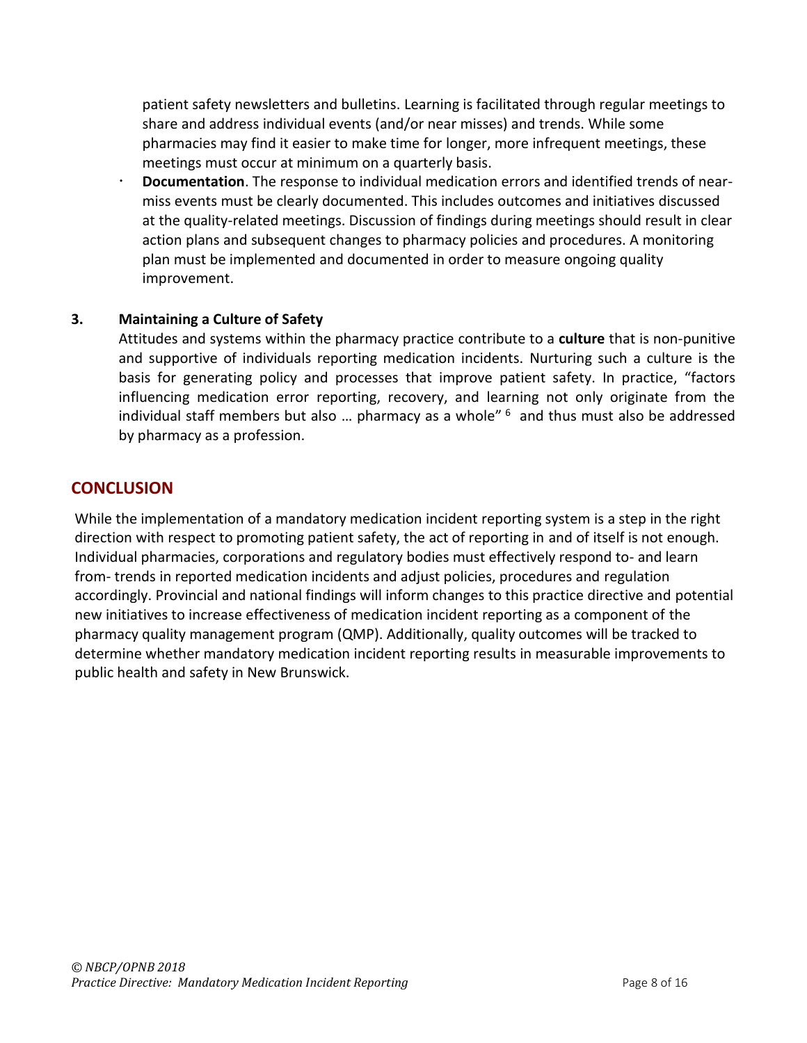patient safety newsletters and bulletins. Learning is facilitated through regular meetings to share and address individual events (and/or near misses) and trends. While some pharmacies may find it easier to make time for longer, more infrequent meetings, these meetings must occur at minimum on a quarterly basis.

 **Documentation**. The response to individual medication errors and identified trends of nearmiss events must be clearly documented. This includes outcomes and initiatives discussed at the quality-related meetings. Discussion of findings during meetings should result in clear action plans and subsequent changes to pharmacy policies and procedures. A monitoring plan must be implemented and documented in order to measure ongoing quality improvement.

#### **3. Maintaining a Culture of Safety**

Attitudes and systems within the pharmacy practice contribute to a **culture** that is non-punitive and supportive of individuals reporting medication incidents. Nurturing such a culture is the basis for generating policy and processes that improve patient safety. In practice, "factors influencing medication error reporting, recovery, and learning not only originate from the individual staff members but also ... pharmacy as a whole"  $6\overline{ }$  and thus must also be addressed by pharmacy as a profession.

### **CONCLUSION**

While the implementation of a mandatory medication incident reporting system is a step in the right direction with respect to promoting patient safety, the act of reporting in and of itself is not enough. Individual pharmacies, corporations and regulatory bodies must effectively respond to- and learn from- trends in reported medication incidents and adjust policies, procedures and regulation accordingly. Provincial and national findings will inform changes to this practice directive and potential new initiatives to increase effectiveness of medication incident reporting as a component of the pharmacy quality management program (QMP). Additionally, quality outcomes will be tracked to determine whether mandatory medication incident reporting results in measurable improvements to public health and safety in New Brunswick.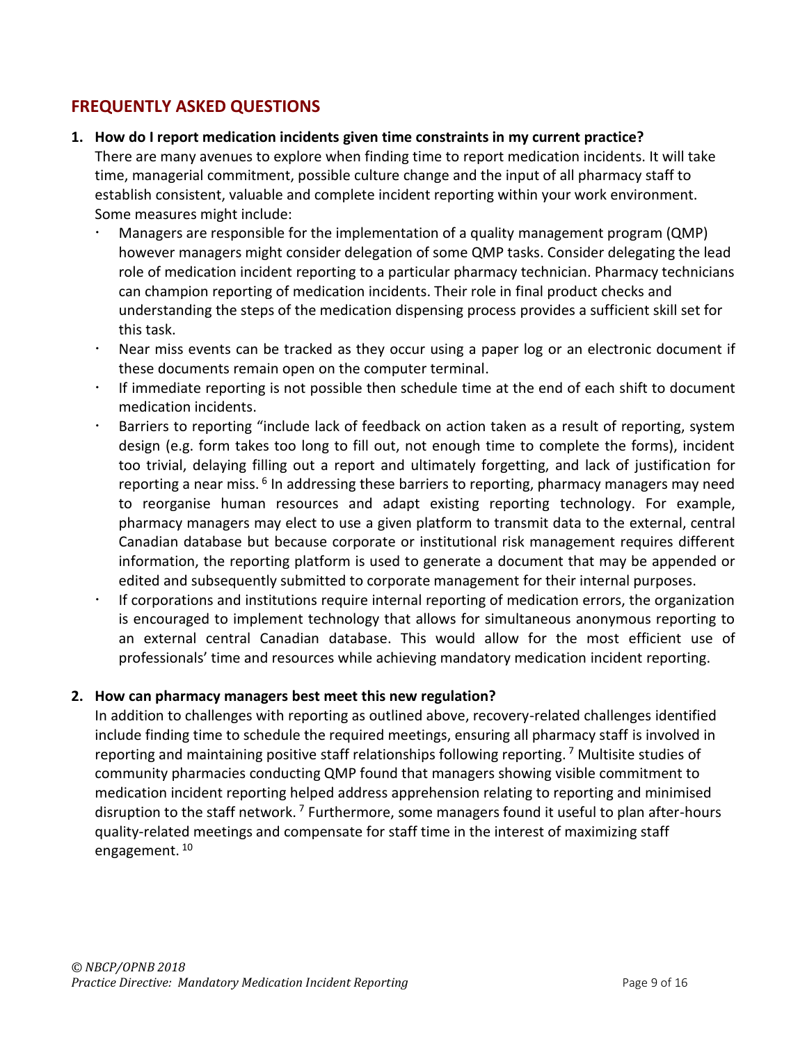# **FREQUENTLY ASKED QUESTIONS**

#### **1. How do I report medication incidents given time constraints in my current practice?**

There are many avenues to explore when finding time to report medication incidents. It will take time, managerial commitment, possible culture change and the input of all pharmacy staff to establish consistent, valuable and complete incident reporting within your work environment. Some measures might include:

- Managers are responsible for the implementation of a quality management program (QMP) however managers might consider delegation of some QMP tasks. Consider delegating the lead role of medication incident reporting to a particular pharmacy technician. Pharmacy technicians can champion reporting of medication incidents. Their role in final product checks and understanding the steps of the medication dispensing process provides a sufficient skill set for this task.
- Near miss events can be tracked as they occur using a paper log or an electronic document if these documents remain open on the computer terminal.
- If immediate reporting is not possible then schedule time at the end of each shift to document medication incidents.
- Barriers to reporting "include lack of feedback on action taken as a result of reporting, system design (e.g. form takes too long to fill out, not enough time to complete the forms), incident too trivial, delaying filling out a report and ultimately forgetting, and lack of justification for reporting a near miss. <sup>6</sup> In addressing these barriers to reporting, pharmacy managers may need to reorganise human resources and adapt existing reporting technology. For example, pharmacy managers may elect to use a given platform to transmit data to the external, central Canadian database but because corporate or institutional risk management requires different information, the reporting platform is used to generate a document that may be appended or edited and subsequently submitted to corporate management for their internal purposes.
- If corporations and institutions require internal reporting of medication errors, the organization is encouraged to implement technology that allows for simultaneous anonymous reporting to an external central Canadian database. This would allow for the most efficient use of professionals' time and resources while achieving mandatory medication incident reporting.

#### **2. How can pharmacy managers best meet this new regulation?**

In addition to challenges with reporting as outlined above, recovery-related challenges identified include finding time to schedule the required meetings, ensuring all pharmacy staff is involved in reporting and maintaining positive staff relationships following reporting. <sup>7</sup> Multisite studies of community pharmacies conducting QMP found that managers showing visible commitment to medication incident reporting helped address apprehension relating to reporting and minimised disruption to the staff network. <sup>7</sup> Furthermore, some managers found it useful to plan after-hours quality-related meetings and compensate for staff time in the interest of maximizing staff engagement. <sup>10</sup>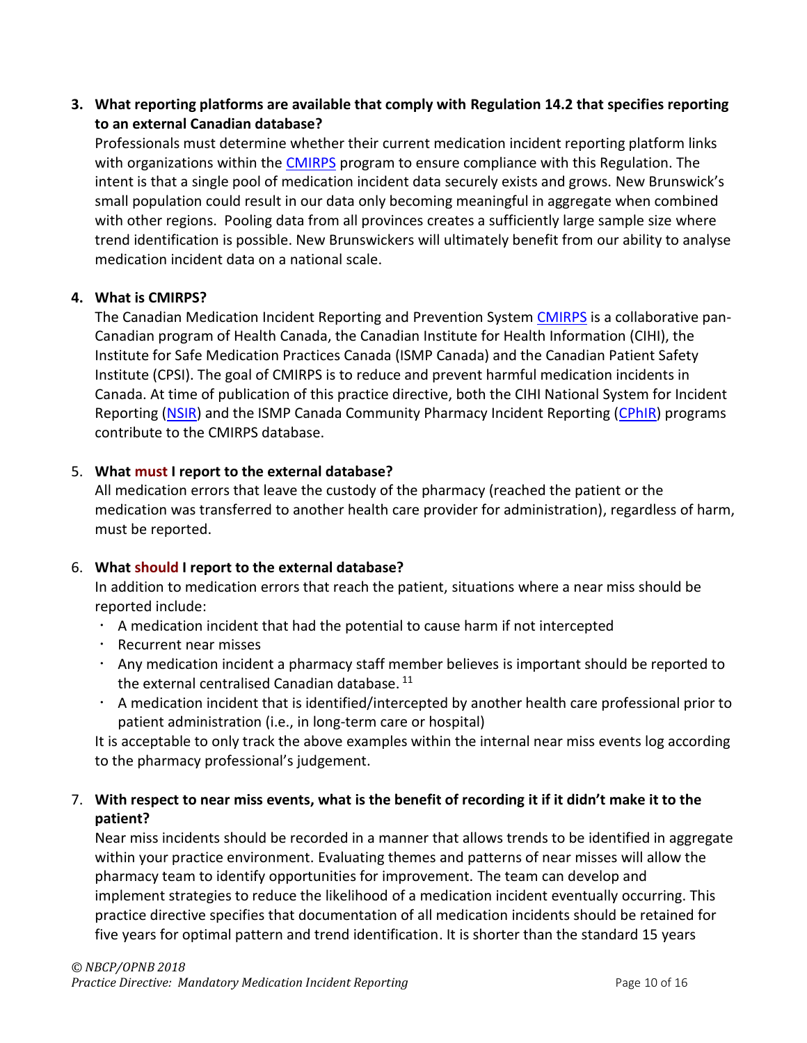**3. What reporting platforms are available that comply with Regulation 14.2 that specifies reporting to an external Canadian database?**

Professionals must determine whether their current medication incident reporting platform links with organizations within the [CMIRPS](https://www.cmirps-scdpim.ca/?p=14&lang=en) program to ensure compliance with this Regulation. The intent is that a single pool of medication incident data securely exists and grows. New Brunswick's small population could result in our data only becoming meaningful in aggregate when combined with other regions. Pooling data from all provinces creates a sufficiently large sample size where trend identification is possible. New Brunswickers will ultimately benefit from our ability to analyse medication incident data on a national scale.

#### **4. What is CMIRPS?**

The Canadian Medication Incident Reporting and Prevention System [CMIRPS](https://www.cmirps-scdpim.ca/?p=14&lang=en) is a collaborative pan-Canadian program of Health Canada, the Canadian Institute for Health Information (CIHI), the Institute for Safe Medication Practices Canada (ISMP Canada) and the Canadian Patient Safety Institute (CPSI). The goal of CMIRPS is to reduce and prevent harmful medication incidents in Canada. At time of publication of this practice directive, both the CIHI National System for Incident Reporting [\(NSIR\)](https://www.cihi.ca/en/national-system-for-incident-reporting-nsir) and the ISMP Canada Community Pharmacy Incident Reporting [\(CPhIR\)](http://www.cphir.ca/) programs contribute to the CMIRPS database.

#### 5. **What must I report to the external database?**

All medication errors that leave the custody of the pharmacy (reached the patient or the medication was transferred to another health care provider for administration), regardless of harm, must be reported.

#### 6. **What should I report to the external database?**

In addition to medication errors that reach the patient, situations where a near miss should be reported include:

- $\cdot$  A medication incident that had the potential to cause harm if not intercepted
- Recurrent near misses
- $\cdot$  Any medication incident a pharmacy staff member believes is important should be reported to the external centralised Canadian database.<sup>11</sup>
- $\cdot$  A medication incident that is identified/intercepted by another health care professional prior to patient administration (i.e., in long-term care or hospital)

It is acceptable to only track the above examples within the internal near miss events log according to the pharmacy professional's judgement.

### 7. **With respect to near miss events, what is the benefit of recording it if it didn't make it to the patient?**

Near miss incidents should be recorded in a manner that allows trends to be identified in aggregate within your practice environment. Evaluating themes and patterns of near misses will allow the pharmacy team to identify opportunities for improvement. The team can develop and implement strategies to reduce the likelihood of a medication incident eventually occurring. This practice directive specifies that documentation of all medication incidents should be retained for five years for optimal pattern and trend identification. It is shorter than the standard 15 years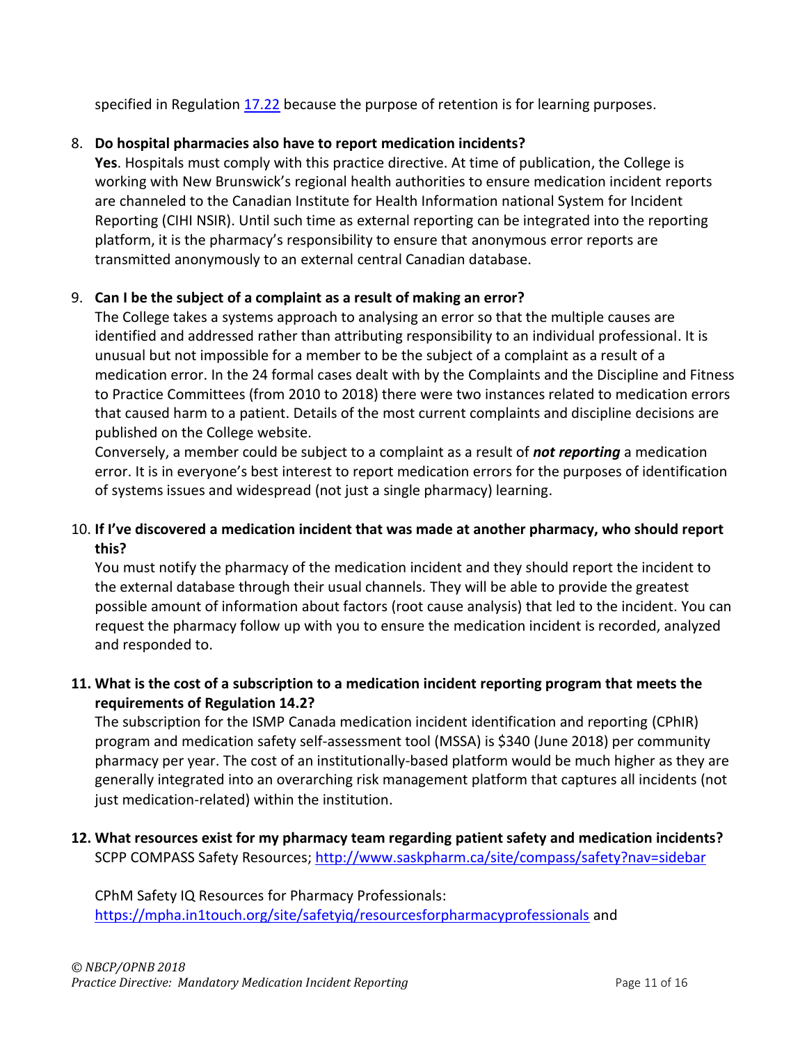specified in Regulation [17.22](https://nbcp.in1touch.org/document/1733/2015%2007%2023%20REGS%20bilingual.pdf) because the purpose of retention is for learning purposes.

### 8. **Do hospital pharmacies also have to report medication incidents?**

**Yes**. Hospitals must comply with this practice directive. At time of publication, the College is working with New Brunswick's regional health authorities to ensure medication incident reports are channeled to the Canadian Institute for Health Information national System for Incident Reporting (CIHI NSIR). Until such time as external reporting can be integrated into the reporting platform, it is the pharmacy's responsibility to ensure that anonymous error reports are transmitted anonymously to an external central Canadian database.

### 9. **Can I be the subject of a complaint as a result of making an error?**

The College takes a systems approach to analysing an error so that the multiple causes are identified and addressed rather than attributing responsibility to an individual professional. It is unusual but not impossible for a member to be the subject of a complaint as a result of a medication error. In the 24 formal cases dealt with by the Complaints and the Discipline and Fitness to Practice Committees (from 2010 to 2018) there were two instances related to medication errors that caused harm to a patient. Details of the most current complaints and discipline decisions are published on the College website.

Conversely, a member could be subject to a complaint as a result of *not reporting* a medication error. It is in everyone's best interest to report medication errors for the purposes of identification of systems issues and widespread (not just a single pharmacy) learning.

## 10. **If I've discovered a medication incident that was made at another pharmacy, who should report this?**

You must notify the pharmacy of the medication incident and they should report the incident to the external database through their usual channels. They will be able to provide the greatest possible amount of information about factors (root cause analysis) that led to the incident. You can request the pharmacy follow up with you to ensure the medication incident is recorded, analyzed and responded to.

### **11. What is the cost of a subscription to a medication incident reporting program that meets the requirements of Regulation 14.2?**

The subscription for the ISMP Canada medication incident identification and reporting (CPhIR) program and medication safety self-assessment tool (MSSA) is \$340 (June 2018) per community pharmacy per year. The cost of an institutionally-based platform would be much higher as they are generally integrated into an overarching risk management platform that captures all incidents (not just medication-related) within the institution.

**12. What resources exist for my pharmacy team regarding patient safety and medication incidents?**  SCPP COMPASS Safety Resources;<http://www.saskpharm.ca/site/compass/safety?nav=sidebar>

CPhM Safety IQ Resources for Pharmacy Professionals: <https://mpha.in1touch.org/site/safetyiq/resourcesforpharmacyprofessionals> and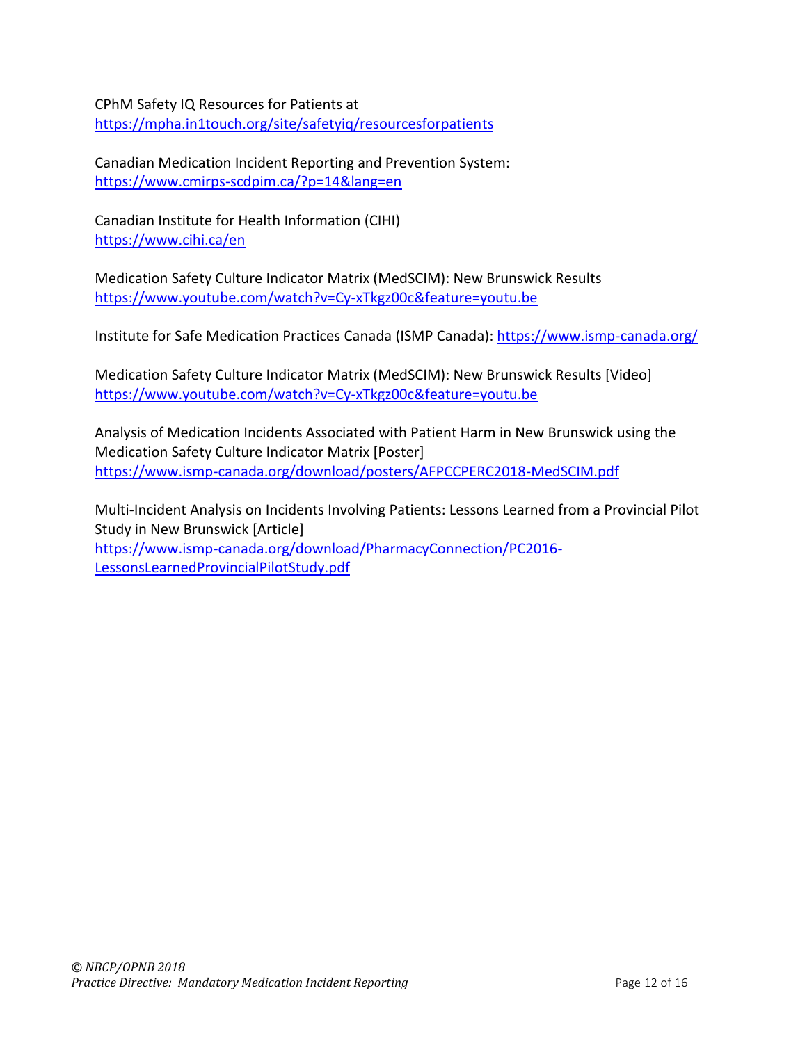CPhM Safety IQ Resources for Patients at <https://mpha.in1touch.org/site/safetyiq/resourcesforpatients>

Canadian Medication Incident Reporting and Prevention System: <https://www.cmirps-scdpim.ca/?p=14&lang=en>

Canadian Institute for Health Information (CIHI) <https://www.cihi.ca/en>

Medication Safety Culture Indicator Matrix (MedSCIM): New Brunswick Results <https://www.youtube.com/watch?v=Cy-xTkgz00c&feature=youtu.be>

Institute for Safe Medication Practices Canada (ISMP Canada):<https://www.ismp-canada.org/>

Medication Safety Culture Indicator Matrix (MedSCIM): New Brunswick Results [Video] <https://www.youtube.com/watch?v=Cy-xTkgz00c&feature=youtu.be>

Analysis of Medication Incidents Associated with Patient Harm in New Brunswick using the Medication Safety Culture Indicator Matrix [Poster] <https://www.ismp-canada.org/download/posters/AFPCCPERC2018-MedSCIM.pdf>

Multi-Incident Analysis on Incidents Involving Patients: Lessons Learned from a Provincial Pilot Study in New Brunswick [Article] [https://www.ismp-canada.org/download/PharmacyConnection/PC2016-](https://www.ismp-canada.org/download/PharmacyConnection/PC2016-LessonsLearnedProvincialPilotStudy.pdf)

[LessonsLearnedProvincialPilotStudy.pdf](https://www.ismp-canada.org/download/PharmacyConnection/PC2016-LessonsLearnedProvincialPilotStudy.pdf)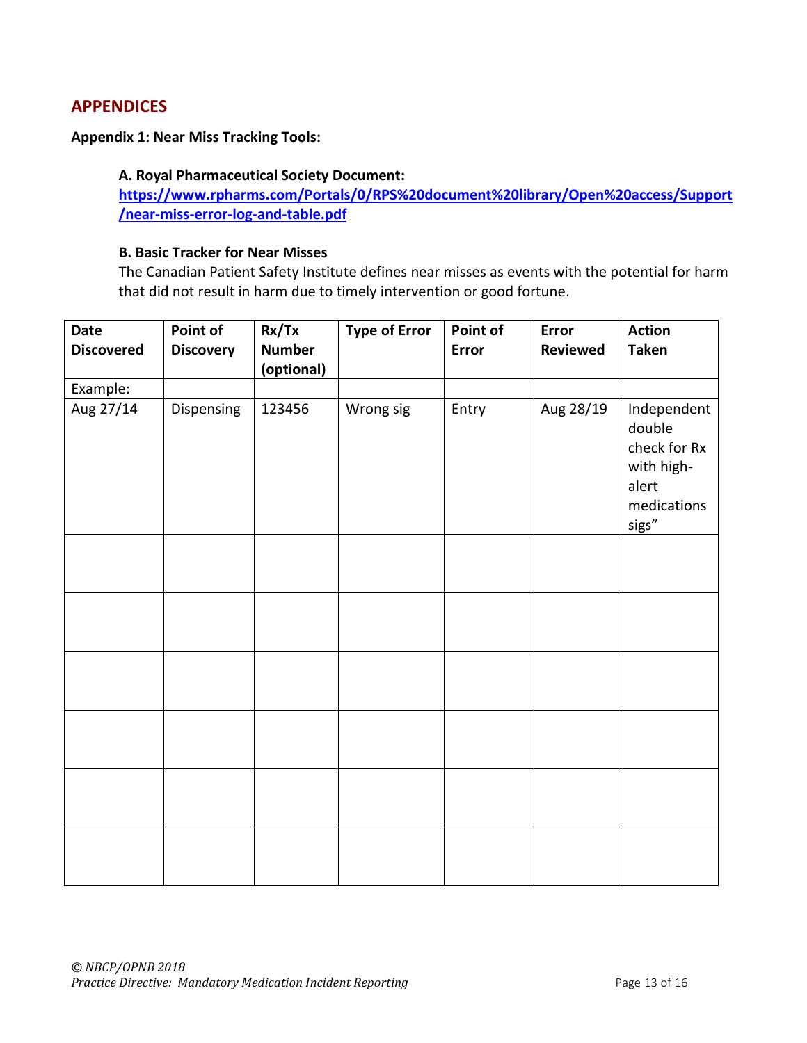# **APPENDICES**

#### **Appendix 1: Near Miss Tracking Tools:**

#### <span id="page-12-0"></span>**A. Royal Pharmaceutical Society Document:**

**[https://www.rpharms.com/Portals/0/RPS%20document%20library/Open%20access/Support](https://www.rpharms.com/Portals/0/RPS%20document%20library/Open%20access/Support/near-miss-error-log-and-table.pdf) [/near-miss-error-log-and-table.pdf](https://www.rpharms.com/Portals/0/RPS%20document%20library/Open%20access/Support/near-miss-error-log-and-table.pdf)**

#### **B. Basic Tracker for Near Misses**

The Canadian Patient Safety Institute defines near misses as events with the potential for harm that did not result in harm due to timely intervention or good fortune.

| <b>Date</b><br><b>Discovered</b> | Point of<br><b>Discovery</b> | Rx/Tx<br><b>Number</b><br>(optional) | <b>Type of Error</b> | Point of<br><b>Error</b> | Error<br><b>Reviewed</b> | <b>Action</b><br><b>Taken</b>                                                        |
|----------------------------------|------------------------------|--------------------------------------|----------------------|--------------------------|--------------------------|--------------------------------------------------------------------------------------|
| Example:                         |                              |                                      |                      |                          |                          |                                                                                      |
| Aug 27/14                        | Dispensing                   | 123456                               | Wrong sig            | Entry                    | Aug 28/19                | Independent<br>double<br>check for Rx<br>with high-<br>alert<br>medications<br>sigs" |
|                                  |                              |                                      |                      |                          |                          |                                                                                      |
|                                  |                              |                                      |                      |                          |                          |                                                                                      |
|                                  |                              |                                      |                      |                          |                          |                                                                                      |
|                                  |                              |                                      |                      |                          |                          |                                                                                      |
|                                  |                              |                                      |                      |                          |                          |                                                                                      |
|                                  |                              |                                      |                      |                          |                          |                                                                                      |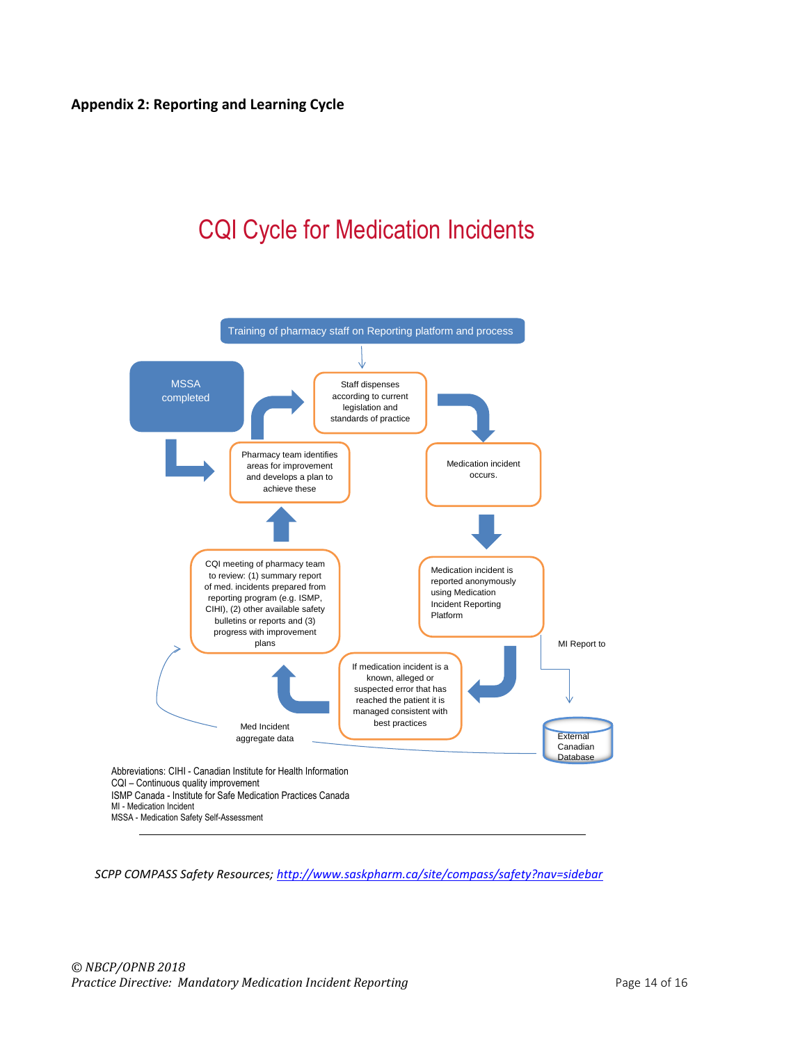# <span id="page-13-0"></span>CQI Cycle for Medication Incidents



*SCPP COMPASS Safety Resources;<http://www.saskpharm.ca/site/compass/safety?nav=sidebar>*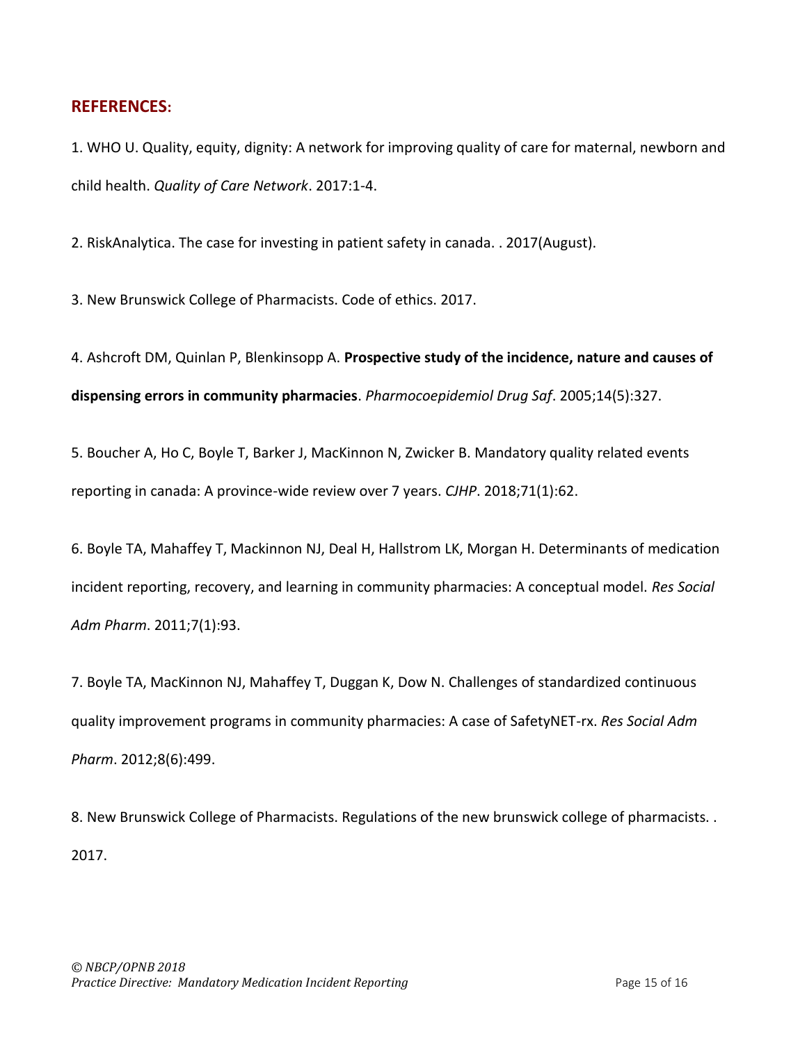#### **REFERENCES:**

1. WHO U. Quality, equity, dignity: A network for improving quality of care for maternal, newborn and child health. *Quality of Care Network*. 2017:1-4.

2. RiskAnalytica. The case for investing in patient safety in canada. . 2017(August).

3. New Brunswick College of Pharmacists. Code of ethics. 2017.

4. Ashcroft DM, Quinlan P, Blenkinsopp A. **Prospective study of the incidence, nature and causes of dispensing errors in community pharmacies**. *Pharmocoepidemiol Drug Saf*. 2005;14(5):327.

5. Boucher A, Ho C, Boyle T, Barker J, MacKinnon N, Zwicker B. Mandatory quality related events reporting in canada: A province-wide review over 7 years. *CJHP*. 2018;71(1):62.

6. Boyle TA, Mahaffey T, Mackinnon NJ, Deal H, Hallstrom LK, Morgan H. Determinants of medication incident reporting, recovery, and learning in community pharmacies: A conceptual model. *Res Social Adm Pharm*. 2011;7(1):93.

7. Boyle TA, MacKinnon NJ, Mahaffey T, Duggan K, Dow N. Challenges of standardized continuous quality improvement programs in community pharmacies: A case of SafetyNET-rx. *Res Social Adm Pharm*. 2012;8(6):499.

8. New Brunswick College of Pharmacists. Regulations of the new brunswick college of pharmacists. . 2017.